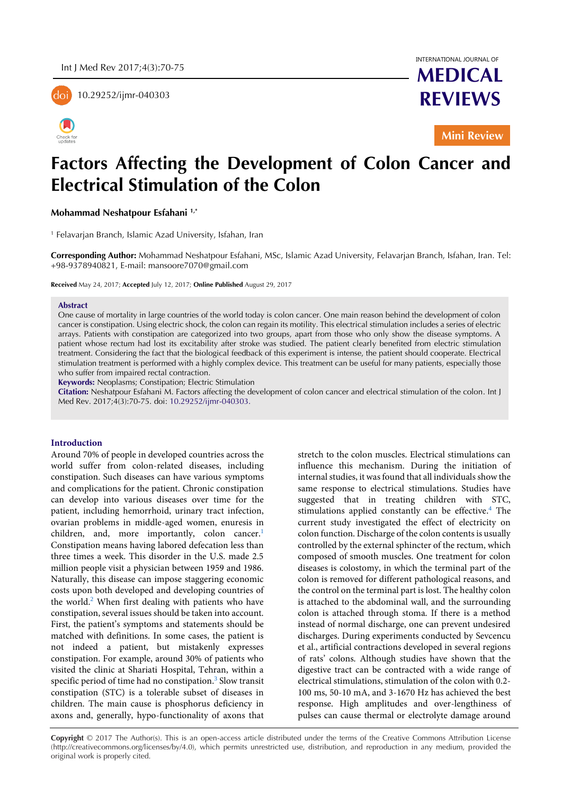

doi 10.29252/ijmr-040303



INTERNATIONAL JOURNAL OF

**MEDICAL REVIEWS**

**Mini Review**

# **Factors Affecting the Development of Colon Cancer and Electrical Stimulation of the Colon**

**Mohammad Neshatpour Esfahani 1,\***

1 Felavarjan Branch, Islamic Azad University, Isfahan, Iran

**Corresponding Author:** Mohammad Neshatpour Esfahani, MSc, Islamic Azad University, Felavarjan Branch, Isfahan, Iran. Tel: +98-9378940821, E-mail: mansoore7070@gmail.com

**Received** May 24, 2017; **Accepted** July 12, 2017; **Online Published** August 29, 2017

#### **Abstract**

One cause of mortality in large countries of the world today is colon cancer. One main reason behind the development of colon cancer is constipation. Using electric shock, the colon can regain its motility. This electrical stimulation includes a series of electric arrays. Patients with constipation are categorized into two groups, apart from those who only show the disease symptoms. A patient whose rectum had lost its excitability after stroke was studied. The patient clearly benefited from electric stimulation treatment. Considering the fact that the biological feedback of this experiment is intense, the patient should cooperate. Electrical stimulation treatment is performed with a highly complex device. This treatment can be useful for many patients, especially those who suffer from impaired rectal contraction.

**Keywords:** Neoplasms; Constipation; Electric Stimulation

**Citation:** Neshatpour Esfahani M. Factors affecting the development of colon cancer and electrical stimulation of the colon. Int J Med Rev. 2017;4(3):70-75. doi: [10.29252/ijmr-040303.](http://dx.doi.org/10.29252/ijmr-040303)

#### **Introduction**

Around 70% of people in developed countries across the world suffer from colon-related diseases, including constipation. Such diseases can have various symptoms and complications for the patient. Chronic constipation can develop into various diseases over time for the patient, including hemorrhoid, urinary tract infection, ovarian problems in middle-aged women, enuresis in children, and, more importantly, colon cancer[.](#page-4-0)<sup>1</sup> Constipation means having labored defecation less than three times a week. This disorder in the U.S. made 2.5 million people visit a physician between 1959 and 1986. Naturally, this disease can impose staggering economic costs upon both developed and developing countries of the world.<sup>[2](#page-4-1)</sup> When first dealing with patients who have constipation, several issues should be taken into account. First, the patient's symptoms and statements should be matched with definitions. In some cases, the patient is not indeed a patient, but mistakenly expresses constipation. For example, around 30% of patients who visited the clinic at Shariati Hospital, Tehran, within a specific period of time had no constipation.<sup>[3](#page-4-2)</sup> Slow transit constipation (STC) is a tolerable subset of diseases in children. The main cause is phosphorus deficiency in axons and, generally, hypo-functionality of axons that stretch to the colon muscles. Electrical stimulations can influence this mechanism. During the initiation of internal studies, it was found that all individuals show the same response to electrical stimulations. Studies have suggested that in treating children with STC, stimulations applied constantly can be effective.<sup>[4](#page-4-3)</sup> The current study investigated the effect of electricity on colon function. Discharge of the colon contents is usually controlled by the external sphincter of the rectum, which composed of smooth muscles. One treatment for colon diseases is colostomy, in which the terminal part of the colon is removed for different pathological reasons, and the control on the terminal part is lost. The healthy colon is attached to the abdominal wall, and the surrounding colon is attached through stoma. If there is a method instead of normal discharge, one can prevent undesired discharges. During experiments conducted by Sevcencu et al., artificial contractions developed in several regions of rats' colons. Although studies have shown that the digestive tract can be contracted with a wide range of electrical stimulations, stimulation of the colon with 0.2- 100 ms, 50-10 mA, and 3-1670 Hz has achieved the best response. High amplitudes and over-lengthiness of pulses can cause thermal or electrolyte damage around

**Copyright** © 2017 The Author(s). This is an open-access article distributed under the terms of the Creative Commons Attribution License (http://creativecommons.org/licenses/by/4.0), which permits unrestricted use, distribution, and reproduction in any medium, provided the original work is properly cited.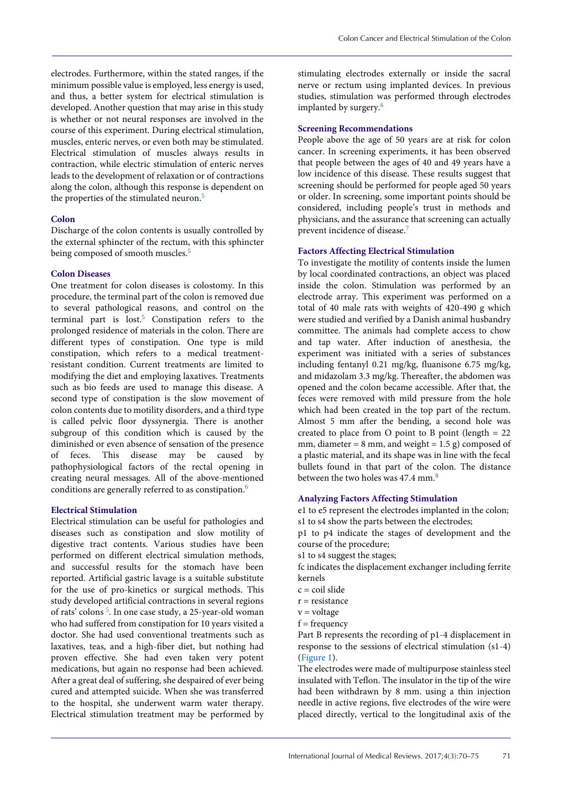electrodes. Furthermore, within the stated ranges, if the minimum possible value is employed, less energy is used, and thus, a better system for electrical stimulation is developed. Another question that may arise in this study is whether or not neural responses are involved in the course of this experiment. During electrical stimulation, muscles, enteric nerves, or even both may be stimulated. Electrical stimulation of muscles always results in contraction, while electric stimulation of enteric nerves leads to the development of relaxation or of contractions along the colon, although this response is dependent on the properties of the stimulated neuro[n.](#page-4-4) 5

## **Colon**

Discharge of the colon contents is usually controlled by the external sphincter of the rectum, with this sphincter being composed of smooth muscles. [5](#page-4-4)

# **Colon Diseases**

One treatment for colon diseases is colostomy. In this procedure, the terminal part of the colon is removed due to several pathological reasons, and control on the terminal part is lost[.](#page-4-4) <sup>5</sup> Constipation refers to the prolonged residence of materials in the colon. There are different types of constipation. One type is mild constipation, which refers to a medical treatmentresistant condition. Current treatments are limited to modifying the diet and employing laxatives. Treatments such as bio feeds are used to manage this disease. A second type of constipation is the slow movement of colon contents due to motility disorders, and a third type is called pelvic floor dyssynergia. There is another subgroup of this condition which is caused by the diminished or even absence of sensation of the presence of feces. This disease may be caused by pathophysiological factors of the rectal opening in creating neural messages. All of the above-mentioned conditions are generally referred to as constipation. [6](#page-4-5)

## **Electrical Stimulation**

Electrical stimulation can be useful for pathologies and diseases such as constipation and slow motility of digestive tract contents. Various studies have been performed on different electrical simulation methods, and successful results for the stomach have been reported. Artificial gastric lavage is a suitable substitute for the use of pro-kinetics or surgical methods. This study developed artificial contractions in several regions of rats' colons<sup>5</sup>[.](#page-4-4) In one case study, a 25-year-old woman who had suffered from constipation for 10 years visited a doctor. She had used conventional treatments such as laxatives, teas, and a high-fiber diet, but nothing had proven effective. She had even taken very potent medications, but again no response had been achieved. After a great deal of suffering, she despaired of ever being cured and attempted suicide. When she was transferred to the hospital, she underwent warm water therapy. Electrical stimulation treatment may be performed by

stimulating electrodes externally or inside the sacral nerve or rectum using implanted devices. In previous studies, stimulation was performed through electrodes implanted by surgery. [6](#page-4-5)

## **Screening Recommendations**

People above the age of 50 years are at risk for colon cancer. In screening experiments, it has been observed that people between the ages of 40 and 49 years have a low incidence of this disease. These results suggest that screening should be performed for people aged 50 years or older. In screening, some important points should be considered, including people's trust in methods and physicians, and the assurance that screening can actually prevent incidence of disease.<sup>[7](#page-4-6)</sup>

# **Factors Affecting Electrical Stimulation**

To investigate the motility of contents inside the lumen by local coordinated contractions, an object was placed inside the colon. Stimulation was performed by an electrode array. This experiment was performed on a total of 40 male rats with weights of 420-490 g which were studied and verified by a Danish animal husbandry committee. The animals had complete access to chow and tap water. After induction of anesthesia, the experiment was initiated with a series of substances including fentanyl 0.21 mg/kg, fluanisone 6.75 mg/kg, and midazolam 3.3 mg/kg. Thereafter, the abdomen was opened and the colon became accessible. After that, the feces were removed with mild pressure from the hole which had been created in the top part of the rectum. Almost 5 mm after the bending, a second hole was created to place from O point to B point (length  $= 22$ mm, diameter =  $8$  mm, and weight =  $1.5$  g) composed of a plastic material, and its shape was in line with the fecal bullets found in that part of the colon. The distance between the two holes was 47[.](#page-4-7)4 mm.<sup>8</sup>

## **Analyzing Factors Affecting Stimulation**

e1 to e5 represent the electrodes implanted in the colon; s1 to s4 show the parts between the electrodes;

p1 to p4 indicate the stages of development and the course of the procedure;

s1 to s4 suggest the stages;

fc indicates the displacement exchanger including ferrite kernels

- $c = \text{coil slide}$
- $r = resistance$
- $v =$  voltage
- $f = frequency$

Part B represents the recording of p1-4 displacement in response to the sessions of electrical stimulation (s1-4) [\(Figure](#page-2-0) 1).

The electrodes were made of multipurpose stainless steel insulated with Teflon. The insulator in the tip of the wire had been withdrawn by 8 mm. using a thin injection needle in active regions, five electrodes of the wire were placed directly, vertical to the longitudinal axis of the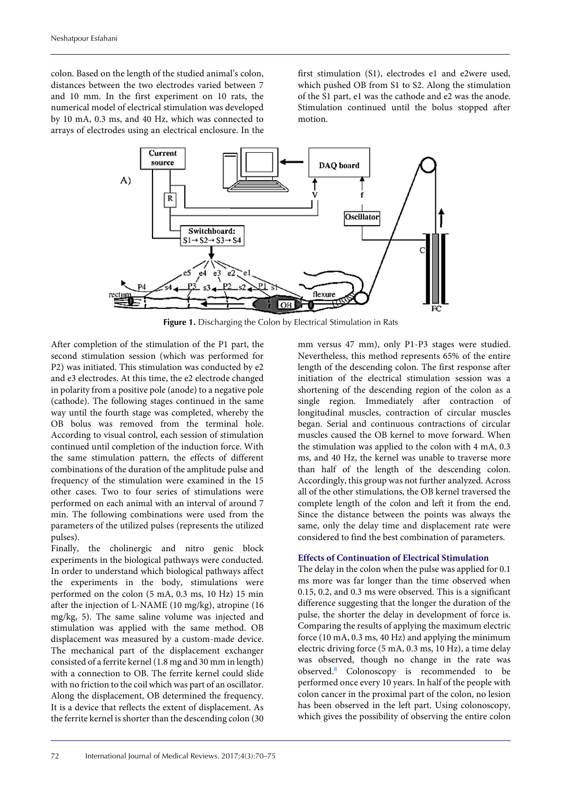colon. Based on the length of the studied animal's colon, distances between the two electrodes varied between 7 and 10 mm. In the first experiment on 10 rats, the numerical model of electrical stimulation was developed by 10 mA, 0.3 ms, and 40 Hz, which was connected to arrays of electrodes using an electrical enclosure. In the

first stimulation (S1), electrodes e1 and e2were used, which pushed OB from S1 to S2. Along the stimulation of the S1 part, e1 was the cathode and e2 was the anode. Stimulation continued until the bolus stopped after motion.

<span id="page-2-0"></span>

**Figure 1.** Discharging the Colon by Electrical Stimulation in Rats

After completion of the stimulation of the P1 part, the second stimulation session (which was performed for P2) was initiated. This stimulation was conducted by e2 and e3 electrodes. At this time, the e2 electrode changed in polarity from a positive pole (anode) to a negative pole (cathode). The following stages continued in the same way until the fourth stage was completed, whereby the OB bolus was removed from the terminal hole. According to visual control, each session of stimulation continued until completion of the induction force. With the same stimulation pattern, the effects of different combinations of the duration of the amplitude pulse and frequency of the stimulation were examined in the 15 other cases. Two to four series of stimulations were performed on each animal with an interval of around 7 min. The following combinations were used from the parameters of the utilized pulses (represents the utilized pulses).

Finally, the cholinergic and nitro genic block experiments in the biological pathways were conducted. In order to understand which biological pathways affect the experiments in the body, stimulations were performed on the colon (5 mA, 0.3 ms, 10 Hz) 15 min after the injection of L-NAME (10 mg/kg), atropine (16 mg/kg, 5). The same saline volume was injected and stimulation was applied with the same method. OB displacement was measured by a custom-made device. The mechanical part of the displacement exchanger consisted of a ferrite kernel (1.8 mg and 30 mm in length) with a connection to OB. The ferrite kernel could slide with no friction to the coil which was part of an oscillator. Along the displacement, OB determined the frequency. It is a device that reflects the extent of displacement. As the ferrite kernel is shorter than the descending colon (30

mm versus 47 mm), only P1-P3 stages were studied. Nevertheless, this method represents 65% of the entire length of the descending colon. The first response after initiation of the electrical stimulation session was a shortening of the descending region of the colon as a single region. Immediately after contraction of longitudinal muscles, contraction of circular muscles began. Serial and continuous contractions of circular muscles caused the OB kernel to move forward. When the stimulation was applied to the colon with 4 mA, 0.3 ms, and 40 Hz, the kernel was unable to traverse more than half of the length of the descending colon. Accordingly, this group was not further analyzed. Across all of the other stimulations, the OB kernel traversed the complete length of the colon and left it from the end. Since the distance between the points was always the same, only the delay time and displacement rate were considered to find the best combination of parameters.

# **Effects of Continuation of Electrical Stimulation**

The delay in the colon when the pulse was applied for 0.1 ms more was far longer than the time observed when 0.15, 0.2, and 0.3 ms were observed. This is a significant difference suggesting that the longer the duration of the pulse, the shorter the delay in development of force is. Comparing the results of applying the maximum electric force (10 mA, 0.3 ms, 40 Hz) and applying the minimum electric driving force (5 mA, 0.3 ms, 10 Hz), a time delay was observed, though no change in the rate was observed. [8](#page-4-7) Colonoscopy is recommended to be performed once every 10 years. In half of the people with colon cancer in the proximal part of the colon, no lesion has been observed in the left part. Using colonoscopy, which gives the possibility of observing the entire colon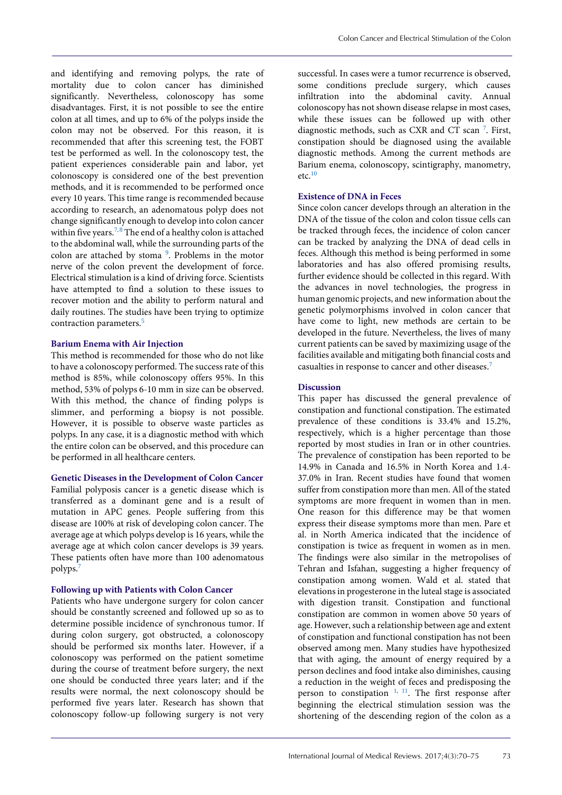and identifying and removing polyps, the rate of mortality due to colon cancer has diminished significantly. Nevertheless, colonoscopy has some disadvantages. First, it is not possible to see the entire colon at all times, and up to 6% of the polyps inside the colon may not be observed. For this reason, it is recommended that after this screening test, the FOBT test be performed as well. In the colonoscopy test, the patient experiences considerable pain and labor, yet colonoscopy is considered one of the best prevention methods, and it is recommended to be performed once every 10 years. This time range is recommended because according to research, an adenomatous polyp does not change significantly enough to develop into colon cancer within five years.<sup>[7](#page-4-6),[8](#page-4-7)</sup> The end of a healthy colon is attached to the abdominal wall, while the surrounding parts of the colon are attached by stoma <sup>9</sup>[.](#page-5-0) Problems in the motor nerve of the colon prevent the development of force. Electrical stimulation is a kind of driving force. Scientists have attempted to find a solution to these issues to recover motion and the ability to perform natural and daily routines. The studies have been trying to optimize contraction parameters.<sup>[5](#page-4-4)</sup>

## **Barium Enema with Air Injection**

This method is recommended for those who do not like to have a colonoscopy performed. The success rate of this method is 85%, while colonoscopy offers 95%. In this method, 53% of polyps 6-10 mm in size can be observed. With this method, the chance of finding polyps is slimmer, and performing a biopsy is not possible. However, it is possible to observe waste particles as polyps. In any case, it is a diagnostic method with which the entire colon can be observed, and this procedure can be performed in all healthcare centers.

# **Genetic Diseases in the Development of Colon Cancer**

Familial polyposis cancer is a genetic disease which is transferred as a dominant gene and is a result of mutation in APC genes. People suffering from this disease are 100% at risk of developing colon cancer. The average age at which polyps develop is 16 years, while the average age at which colon cancer develops is 39 years. These patients often have more than 100 adenomatous polyp[s.](#page-4-6) 7

# **Following up with Patients with Colon Cancer**

Patients who have undergone surgery for colon cancer should be constantly screened and followed up so as to determine possible incidence of synchronous tumor. If during colon surgery, got obstructed, a colonoscopy should be performed six months later. However, if a colonoscopy was performed on the patient sometime during the course of treatment before surgery, the next one should be conducted three years later; and if the results were normal, the next colonoscopy should be performed five years later. Research has shown that colonoscopy follow-up following surgery is not very

successful. In cases were a tumor recurrence is observed, some conditions preclude surgery, which causes infiltration into the abdominal cavity. Annual colonoscopy has not shown disease relapse in most cases, while these issues can be followed up with other diagnostic methods, such as CXR and CT scan<sup>[7](#page-4-6)</sup>. First, constipation should be diagnosed using the available diagnostic methods. Among the current methods are Barium enema, colonoscopy, scintigraphy, manometry,  $etc.<sup>10</sup>$  $etc.<sup>10</sup>$  $etc.<sup>10</sup>$ 

# **Existence of DNA in Feces**

Since colon cancer develops through an alteration in the DNA of the tissue of the colon and colon tissue cells can be tracked through feces, the incidence of colon cancer can be tracked by analyzing the DNA of dead cells in feces. Although this method is being performed in some laboratories and has also offered promising results, further evidence should be collected in this regard. With the advances in novel technologies, the progress in human genomic projects, and new information about the genetic polymorphisms involved in colon cancer that have come to light, new methods are certain to be developed in the future. Nevertheless, the lives of many current patients can be saved by maximizing usage of the facilities available and mitigating both financial costs and casualties in response to cancer and other diseases[.](#page-4-6) 7

# **Discussion**

This paper has discussed the general prevalence of constipation and functional constipation. The estimated prevalence of these conditions is 33.4% and 15.2%, respectively, which is a higher percentage than those reported by most studies in Iran or in other countries. The prevalence of constipation has been reported to be 14.9% in Canada and 16.5% in North Korea and 1.4- 37.0% in Iran. Recent studies have found that women suffer from constipation more than men. All of the stated symptoms are more frequent in women than in men. One reason for this difference may be that women express their disease symptoms more than men. Pare et al. in North America indicated that the incidence of constipation is twice as frequent in women as in men. The findings were also similar in the metropolises of Tehran and Isfahan, suggesting a higher frequency of constipation among women. Wald et al. stated that elevations in progesterone in the luteal stage is associated with digestion transit. Constipation and functional constipation are common in women above 50 years of age. However, such a relationship between age and extent of constipation and functional constipation has not been observed among men. Many studies have hypothesized that with aging, the amount of energy required by a person declines and food intake also diminishes, causing a reduction in the weight of feces and predisposing the person to constipation  $1, 11$  $1, 11$  $1, 11$ . The first response after beginning the electrical stimulation session was the shortening of the descending region of the colon as a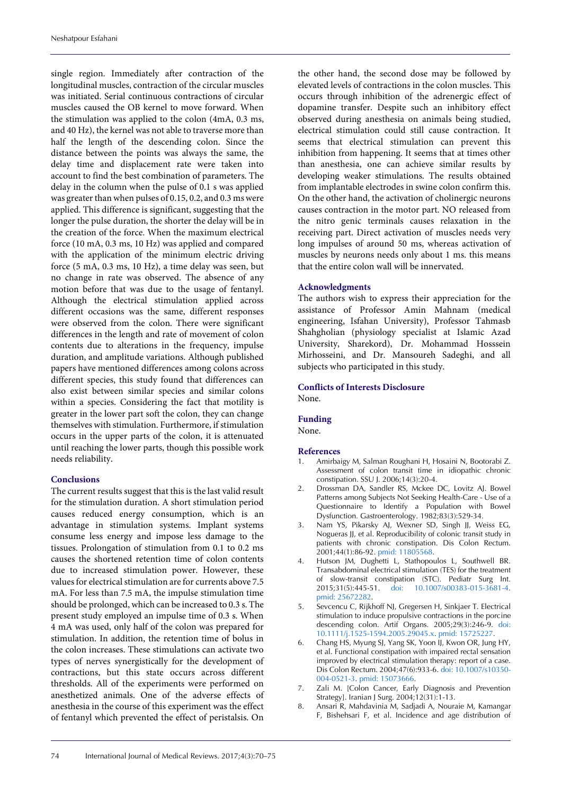single region. Immediately after contraction of the longitudinal muscles, contraction of the circular muscles was initiated. Serial continuous contractions of circular muscles caused the OB kernel to move forward. When the stimulation was applied to the colon (4mA, 0.3 ms, and 40 Hz), the kernel was not able to traverse more than half the length of the descending colon. Since the distance between the points was always the same, the delay time and displacement rate were taken into account to find the best combination of parameters. The delay in the column when the pulse of 0.1 s was applied was greater than when pulses of 0.15, 0.2, and 0.3 ms were applied. This difference is significant, suggesting that the longer the pulse duration, the shorter the delay will be in the creation of the force. When the maximum electrical force (10 mA, 0.3 ms, 10 Hz) was applied and compared with the application of the minimum electric driving force (5 mA, 0.3 ms, 10 Hz), a time delay was seen, but no change in rate was observed. The absence of any motion before that was due to the usage of fentanyl. Although the electrical stimulation applied across different occasions was the same, different responses were observed from the colon. There were significant differences in the length and rate of movement of colon contents due to alterations in the frequency, impulse duration, and amplitude variations. Although published papers have mentioned differences among colons across different species, this study found that differences can also exist between similar species and similar colons within a species. Considering the fact that motility is greater in the lower part soft the colon, they can change themselves with stimulation. Furthermore, if stimulation occurs in the upper parts of the colon, it is attenuated until reaching the lower parts, though this possible work needs reliability.

## **Conclusions**

The current results suggest that this is the last valid result for the stimulation duration. A short stimulation period causes reduced energy consumption, which is an advantage in stimulation systems. Implant systems consume less energy and impose less damage to the tissues. Prolongation of stimulation from 0.1 to 0.2 ms causes the shortened retention time of colon contents due to increased stimulation power. However, these values for electrical stimulation are for currents above 7.5 mA. For less than 7.5 mA, the impulse stimulation time should be prolonged, which can be increased to 0.3 s. The present study employed an impulse time of 0.3 s. When 4 mA was used, only half of the colon was prepared for stimulation. In addition, the retention time of bolus in the colon increases. These stimulations can activate two types of nerves synergistically for the development of contractions, but this state occurs across different thresholds. All of the experiments were performed on anesthetized animals. One of the adverse effects of anesthesia in the course of this experiment was the effect of fentanyl which prevented the effect of peristalsis. On

the other hand, the second dose may be followed by elevated levels of contractions in the colon muscles. This occurs through inhibition of the adrenergic effect of dopamine transfer. Despite such an inhibitory effect observed during anesthesia on animals being studied, electrical stimulation could still cause contraction. It seems that electrical stimulation can prevent this inhibition from happening. It seems that at times other than anesthesia, one can achieve similar results by developing weaker stimulations. The results obtained from implantable electrodes in swine colon confirm this. On the other hand, the activation of cholinergic neurons causes contraction in the motor part. NO released from the nitro genic terminals causes relaxation in the receiving part. Direct activation of muscles needs very long impulses of around 50 ms, whereas activation of muscles by neurons needs only about 1 ms. this means that the entire colon wall will be innervated.

#### **Acknowledgments**

The authors wish to express their appreciation for the assistance of Professor Amin Mahnam (medical engineering, Isfahan University), Professor Tahmasb Shahgholian (physiology specialist at Islamic Azad University, Sharekord), Dr. Mohammad Hosssein Mirhosseini, and Dr. Mansoureh Sadeghi, and all subjects who participated in this study.

#### **Conflicts of Interests Disclosure** None.

#### **Funding**

None.

#### **References**

- <span id="page-4-0"></span>1. Amirbaigy M, Salman Roughani H, Hosaini N, Bootorabi Z. Assessment of colon transit time in idiopathic chronic constipation. SSU J. 2006;14(3):20-4.
- <span id="page-4-1"></span>2. Drossman DA, Sandler RS, Mckee DC, Lovitz AJ. Bowel Patterns among Subjects Not Seeking Health-Care - Use of a Questionnaire to Identify a Population with Bowel Dysfunction. Gastroenterology. 1982;83(3):529-34.
- <span id="page-4-2"></span>3. Nam YS, Pikarsky AJ, Wexner SD, Singh JJ, Weiss EG, Nogueras JJ, et al. Reproducibility of colonic transit study in patients with chronic constipation. Dis Colon Rectum. 2001;44(1):86-92[. pmid: 11805568.](http://www.ncbi.nlm.nih.gov/pubmed/11805568)
- <span id="page-4-3"></span>4. Hutson JM, Dughetti L, Stathopoulos L, Southwell BR. Transabdominal electrical stimulation (TES) for the treatment of slow-transit constipation (STC). Pediatr Surg Int. 2015;31(5):445-51. [doi: 10.1007/s00383-015-3681-4.](http://dx.doi.org/10.1007/s00383-015-3681-4) [pmid: 25672282.](http://www.ncbi.nlm.nih.gov/pubmed/25672282)
- <span id="page-4-4"></span>5. Sevcencu C, Rijkhoff NJ, Gregersen H, Sinkjaer T. Electrical stimulation to induce propulsive contractions in the porcine descending colon. Artif Organs. 2005;29(3):246-9. [doi:](http://dx.doi.org/10.1111/j.1525-1594.2005.29045.x)  [10.1111/j.1525-1594.2005.29045.x.](http://dx.doi.org/10.1111/j.1525-1594.2005.29045.x) [pmid: 15725227.](http://www.ncbi.nlm.nih.gov/pubmed/15725227)
- <span id="page-4-5"></span>6. Chang HS, Myung SJ, Yang SK, Yoon IJ, Kwon OR, Jung HY, et al. Functional constipation with impaired rectal sensation improved by electrical stimulation therapy: report of a case. Dis Colon Rectum. 2004;47(6):933-6. [doi: 10.1007/s10350-](http://dx.doi.org/10.1007/s10350-004-0521-3) [004-0521-3.](http://dx.doi.org/10.1007/s10350-004-0521-3) [pmid: 15073666.](http://www.ncbi.nlm.nih.gov/pubmed/15073666)
- <span id="page-4-6"></span>7. Zali M. [Colon Cancer, Early Diagnosis and Prevention Strategy]. Iranian J Surg. 2004;12(31):1-13.
- <span id="page-4-7"></span>8. Ansari R, Mahdavinia M, Sadjadi A, Nouraie M, Kamangar F, Bishehsari F, et al. Incidence and age distribution of